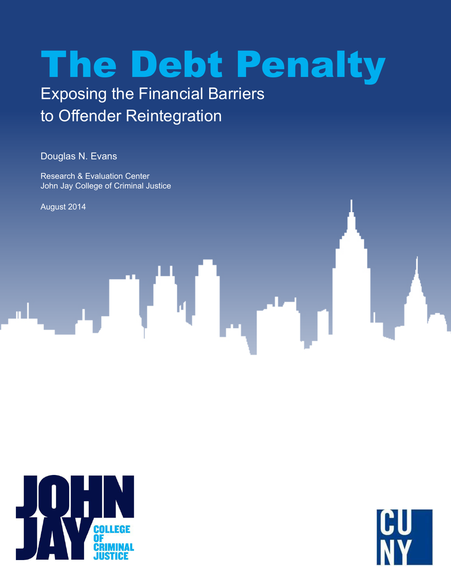# The Debt Penalty

## Exposing the Financial Barriers to Offender Reintegration

Douglas N. Evans

Research & Evaluation Center John Jay College of Criminal Justice

August 2014



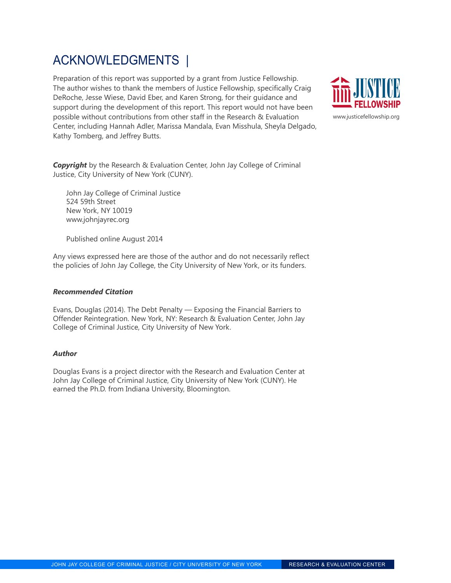## ACKNOWLEDGMENTS |

Preparation of this report was supported by a grant from Justice Fellowship. The author wishes to thank the members of Justice Fellowship, specifically Craig DeRoche, Jesse Wiese, David Eber, and Karen Strong, for their guidance and support during the development of this report. This report would not have been possible without contributions from other staff in the Research & Evaluation Center, including Hannah Adler, Marissa Mandala, Evan Misshula, Sheyla Delgado, Kathy Tomberg, and Jeffrey Butts.



*Copyright* by the Research & Evaluation Center, John Jay College of Criminal Justice, City University of New York (CUNY).

John Jay College of Criminal Justice 524 59th Street New York, NY 10019 www.johnjayrec.org

Published online August 2014

Any views expressed here are those of the author and do not necessarily reflect the policies of John Jay College, the City University of New York, or its funders.

#### *Recommended Citation*

Evans, Douglas (2014). The Debt Penalty — Exposing the Financial Barriers to Offender Reintegration. New York, NY: Research & Evaluation Center, John Jay College of Criminal Justice, City University of New York.

#### *Author*

Douglas Evans is a project director with the Research and Evaluation Center at John Jay College of Criminal Justice, City University of New York (CUNY). He earned the Ph.D. from Indiana University, Bloomington.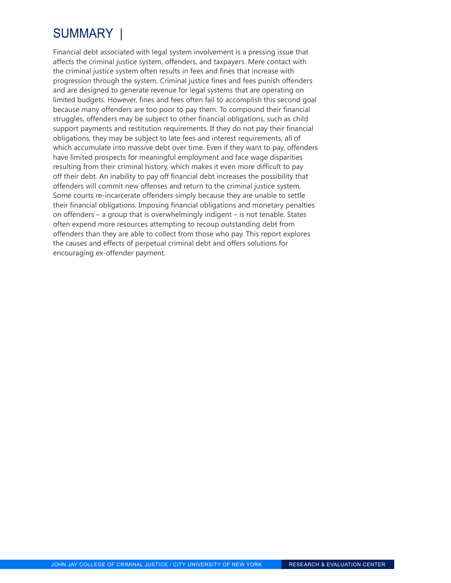## SUMMARY |

Financial debt associated with legal system involvement is a pressing issue that affects the criminal justice system, offenders, and taxpayers. Mere contact with the criminal justice system often results in fees and fines that increase with progression through the system. Criminal justice fines and fees punish offenders and are designed to generate revenue for legal systems that are operating on limited budgets. However, fines and fees often fail to accomplish this second goal because many offenders are too poor to pay them. To compound their financial struggles, offenders may be subject to other financial obligations, such as child support payments and restitution requirements. If they do not pay their financial obligations, they may be subject to late fees and interest requirements, all of which accumulate into massive debt over time. Even if they want to pay, offenders have limited prospects for meaningful employment and face wage disparities resulting from their criminal history, which makes it even more difficult to pay off their debt. An inability to pay off financial debt increases the possibility that offenders will commit new offenses and return to the criminal justice system. Some courts re-incarcerate offenders simply because they are unable to settle their financial obligations. Imposing financial obligations and monetary penalties on offenders – a group that is overwhelmingly indigent – is not tenable. States often expend more resources attempting to recoup outstanding debt from offenders than they are able to collect from those who pay. This report explores the causes and effects of perpetual criminal debt and offers solutions for encouraging ex-offender payment.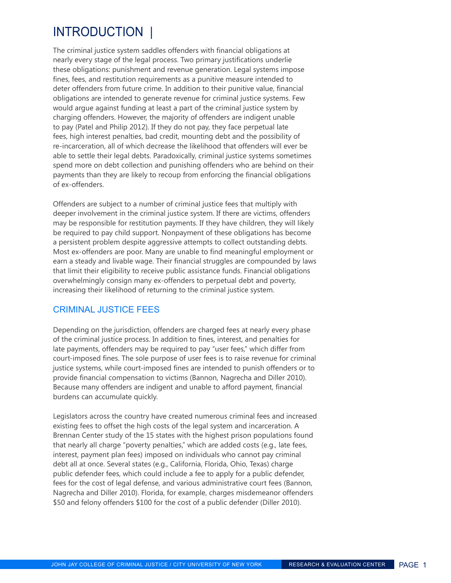## INTroduction |

The criminal justice system saddles offenders with financial obligations at nearly every stage of the legal process. Two primary justifications underlie these obligations: punishment and revenue generation. Legal systems impose fines, fees, and restitution requirements as a punitive measure intended to deter offenders from future crime. In addition to their punitive value, financial obligations are intended to generate revenue for criminal justice systems. Few would argue against funding at least a part of the criminal justice system by charging offenders. However, the majority of offenders are indigent unable to pay (Patel and Philip 2012). If they do not pay, they face perpetual late fees, high interest penalties, bad credit, mounting debt and the possibility of re-incarceration, all of which decrease the likelihood that offenders will ever be able to settle their legal debts. Paradoxically, criminal justice systems sometimes spend more on debt collection and punishing offenders who are behind on their payments than they are likely to recoup from enforcing the financial obligations of ex-offenders.

Offenders are subject to a number of criminal justice fees that multiply with deeper involvement in the criminal justice system. If there are victims, offenders may be responsible for restitution payments. If they have children, they will likely be required to pay child support. Nonpayment of these obligations has become a persistent problem despite aggressive attempts to collect outstanding debts. Most ex-offenders are poor. Many are unable to find meaningful employment or earn a steady and livable wage. Their financial struggles are compounded by laws that limit their eligibility to receive public assistance funds. Financial obligations overwhelmingly consign many ex-offenders to perpetual debt and poverty, increasing their likelihood of returning to the criminal justice system.

#### Criminal justice fees

Depending on the jurisdiction, offenders are charged fees at nearly every phase of the criminal justice process. In addition to fines, interest, and penalties for late payments, offenders may be required to pay "user fees," which differ from court-imposed fines. The sole purpose of user fees is to raise revenue for criminal justice systems, while court-imposed fines are intended to punish offenders or to provide financial compensation to victims (Bannon, Nagrecha and Diller 2010). Because many offenders are indigent and unable to afford payment, financial burdens can accumulate quickly.

Legislators across the country have created numerous criminal fees and increased existing fees to offset the high costs of the legal system and incarceration. A Brennan Center study of the 15 states with the highest prison populations found that nearly all charge "poverty penalties," which are added costs (e.g., late fees, interest, payment plan fees) imposed on individuals who cannot pay criminal debt all at once. Several states (e.g., California, Florida, Ohio, Texas) charge public defender fees, which could include a fee to apply for a public defender, fees for the cost of legal defense, and various administrative court fees (Bannon, Nagrecha and Diller 2010). Florida, for example, charges misdemeanor offenders \$50 and felony offenders \$100 for the cost of a public defender (Diller 2010).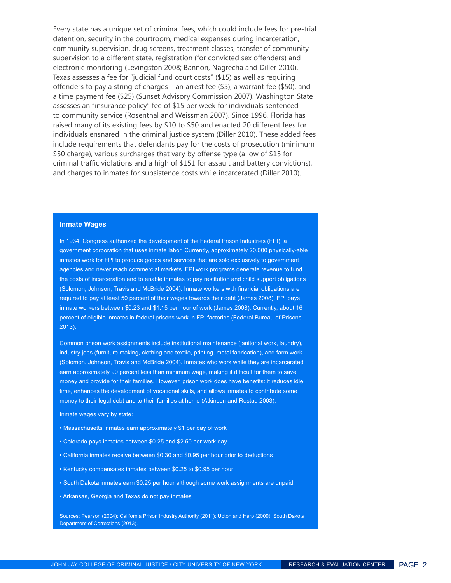Every state has a unique set of criminal fees, which could include fees for pre-trial detention, security in the courtroom, medical expenses during incarceration, community supervision, drug screens, treatment classes, transfer of community supervision to a different state, registration (for convicted sex offenders) and electronic monitoring (Levingston 2008; Bannon, Nagrecha and Diller 2010). Texas assesses a fee for "judicial fund court costs" (\$15) as well as requiring offenders to pay a string of charges – an arrest fee (\$5), a warrant fee (\$50), and a time payment fee (\$25) (Sunset Advisory Commission 2007). Washington State assesses an "insurance policy" fee of \$15 per week for individuals sentenced to community service (Rosenthal and Weissman 2007). Since 1996, Florida has raised many of its existing fees by \$10 to \$50 and enacted 20 different fees for individuals ensnared in the criminal justice system (Diller 2010). These added fees include requirements that defendants pay for the costs of prosecution (minimum \$50 charge), various surcharges that vary by offense type (a low of \$15 for criminal traffic violations and a high of \$151 for assault and battery convictions), and charges to inmates for subsistence costs while incarcerated (Diller 2010).

#### **Inmate Wages**

In 1934, Congress authorized the development of the Federal Prison Industries (FPI), a government corporation that uses inmate labor. Currently, approximately 20,000 physically-able inmates work for FPI to produce goods and services that are sold exclusively to government agencies and never reach commercial markets. FPI work programs generate revenue to fund the costs of incarceration and to enable inmates to pay restitution and child support obligations (Solomon, Johnson, Travis and McBride 2004). Inmate workers with financial obligations are required to pay at least 50 percent of their wages towards their debt (James 2008). FPI pays inmate workers between \$0.23 and \$1.15 per hour of work (James 2008). Currently, about 16 percent of eligible inmates in federal prisons work in FPI factories (Federal Bureau of Prisons 2013).

Common prison work assignments include institutional maintenance (janitorial work, laundry), industry jobs (furniture making, clothing and textile, printing, metal fabrication), and farm work (Solomon, Johnson, Travis and McBride 2004). Inmates who work while they are incarcerated earn approximately 90 percent less than minimum wage, making it difficult for them to save money and provide for their families. However, prison work does have benefits: it reduces idle time, enhances the development of vocational skills, and allows inmates to contribute some money to their legal debt and to their families at home (Atkinson and Rostad 2003).

Inmate wages vary by state:

- Massachusetts inmates earn approximately \$1 per day of work
- Colorado pays inmates between \$0.25 and \$2.50 per work day
- California inmates receive between \$0.30 and \$0.95 per hour prior to deductions
- Kentucky compensates inmates between \$0.25 to \$0.95 per hour
- South Dakota inmates earn \$0.25 per hour although some work assignments are unpaid
- Arkansas, Georgia and Texas do not pay inmates

Sources: Pearson (2004); California Prison Industry Authority (2011); Upton and Harp (2009); South Dakota Department of Corrections (2013).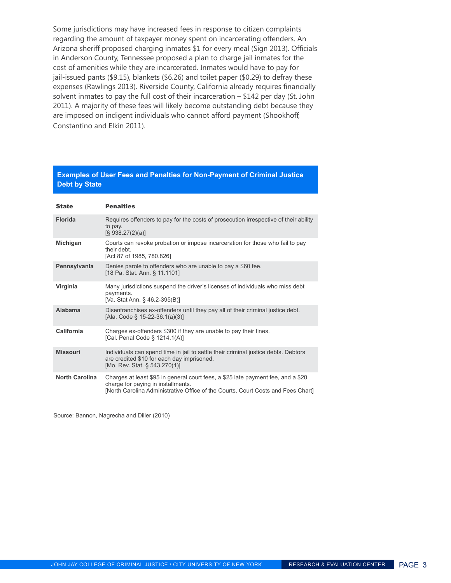Some jurisdictions may have increased fees in response to citizen complaints regarding the amount of taxpayer money spent on incarcerating offenders. An Arizona sheriff proposed charging inmates \$1 for every meal (Sign 2013). Officials in Anderson County, Tennessee proposed a plan to charge jail inmates for the cost of amenities while they are incarcerated. Inmates would have to pay for jail-issued pants (\$9.15), blankets (\$6.26) and toilet paper (\$0.29) to defray these expenses (Rawlings 2013). Riverside County, California already requires financially solvent inmates to pay the full cost of their incarceration – \$142 per day (St. John 2011). A majority of these fees will likely become outstanding debt because they are imposed on indigent individuals who cannot afford payment (Shookhoff, Constantino and Elkin 2011).

#### **Examples of User Fees and Penalties for Non-Payment of Criminal Justice Debt by State**

| <b>State</b>          | <b>Penalties</b>                                                                                                                                                                                           |
|-----------------------|------------------------------------------------------------------------------------------------------------------------------------------------------------------------------------------------------------|
| <b>Florida</b>        | Requires offenders to pay for the costs of prosecution irrespective of their ability<br>to pay.<br>$[\S$ 938.27(2)(a)]                                                                                     |
| Michigan              | Courts can revoke probation or impose incarceration for those who fail to pay<br>their debt.<br>[Act 87 of 1985, 780.826]                                                                                  |
| Pennsylvania          | Denies parole to offenders who are unable to pay a \$60 fee.<br>[18 Pa. Stat. Ann. § 11.1101]                                                                                                              |
| Virginia              | Many jurisdictions suspend the driver's licenses of individuals who miss debt<br>payments.<br>[Va. Stat Ann. § 46.2-395(B)]                                                                                |
| Alabama               | Disenfranchises ex-offenders until they pay all of their criminal justice debt.<br>[Ala. Code § 15-22-36.1(a)(3)]                                                                                          |
| California            | Charges ex-offenders \$300 if they are unable to pay their fines.<br>[Cal. Penal Code § 1214.1(A)]                                                                                                         |
| <b>Missouri</b>       | Individuals can spend time in jail to settle their criminal justice debts. Debtors<br>are credited \$10 for each day imprisoned.<br>[Mo. Rev. Stat. § 543.270(1)]                                          |
| <b>North Carolina</b> | Charges at least \$95 in general court fees, a \$25 late payment fee, and a \$20<br>charge for paying in installments.<br>[North Carolina Administrative Office of the Courts, Court Costs and Fees Chart] |

Source: Bannon, Nagrecha and Diller (2010)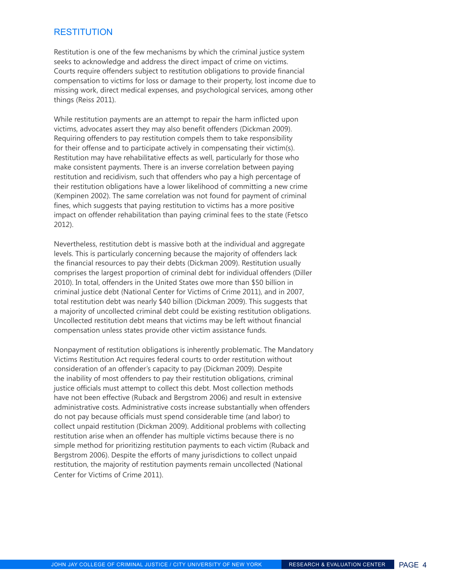#### **RESTITUTION**

Restitution is one of the few mechanisms by which the criminal justice system seeks to acknowledge and address the direct impact of crime on victims. Courts require offenders subject to restitution obligations to provide financial compensation to victims for loss or damage to their property, lost income due to missing work, direct medical expenses, and psychological services, among other things (Reiss 2011).

While restitution payments are an attempt to repair the harm inflicted upon victims, advocates assert they may also benefit offenders (Dickman 2009). Requiring offenders to pay restitution compels them to take responsibility for their offense and to participate actively in compensating their victim(s). Restitution may have rehabilitative effects as well, particularly for those who make consistent payments. There is an inverse correlation between paying restitution and recidivism, such that offenders who pay a high percentage of their restitution obligations have a lower likelihood of committing a new crime (Kempinen 2002). The same correlation was not found for payment of criminal fines, which suggests that paying restitution to victims has a more positive impact on offender rehabilitation than paying criminal fees to the state (Fetsco 2012).

Nevertheless, restitution debt is massive both at the individual and aggregate levels. This is particularly concerning because the majority of offenders lack the financial resources to pay their debts (Dickman 2009). Restitution usually comprises the largest proportion of criminal debt for individual offenders (Diller 2010). In total, offenders in the United States owe more than \$50 billion in criminal justice debt (National Center for Victims of Crime 2011), and in 2007, total restitution debt was nearly \$40 billion (Dickman 2009). This suggests that a majority of uncollected criminal debt could be existing restitution obligations. Uncollected restitution debt means that victims may be left without financial compensation unless states provide other victim assistance funds.

Nonpayment of restitution obligations is inherently problematic. The Mandatory Victims Restitution Act requires federal courts to order restitution without consideration of an offender's capacity to pay (Dickman 2009). Despite the inability of most offenders to pay their restitution obligations, criminal justice officials must attempt to collect this debt. Most collection methods have not been effective (Ruback and Bergstrom 2006) and result in extensive administrative costs. Administrative costs increase substantially when offenders do not pay because officials must spend considerable time (and labor) to collect unpaid restitution (Dickman 2009). Additional problems with collecting restitution arise when an offender has multiple victims because there is no simple method for prioritizing restitution payments to each victim (Ruback and Bergstrom 2006). Despite the efforts of many jurisdictions to collect unpaid restitution, the majority of restitution payments remain uncollected (National Center for Victims of Crime 2011).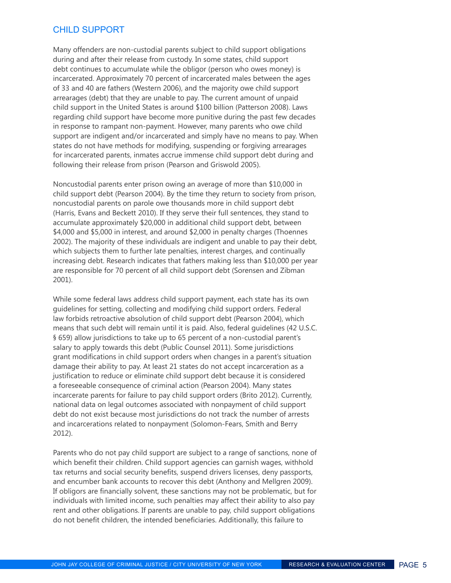#### child support

Many offenders are non-custodial parents subject to child support obligations during and after their release from custody. In some states, child support debt continues to accumulate while the obligor (person who owes money) is incarcerated. Approximately 70 percent of incarcerated males between the ages of 33 and 40 are fathers (Western 2006), and the majority owe child support arrearages (debt) that they are unable to pay. The current amount of unpaid child support in the United States is around \$100 billion (Patterson 2008). Laws regarding child support have become more punitive during the past few decades in response to rampant non-payment. However, many parents who owe child support are indigent and/or incarcerated and simply have no means to pay. When states do not have methods for modifying, suspending or forgiving arrearages for incarcerated parents, inmates accrue immense child support debt during and following their release from prison (Pearson and Griswold 2005).

Noncustodial parents enter prison owing an average of more than \$10,000 in child support debt (Pearson 2004). By the time they return to society from prison, noncustodial parents on parole owe thousands more in child support debt (Harris, Evans and Beckett 2010). If they serve their full sentences, they stand to accumulate approximately \$20,000 in additional child support debt, between \$4,000 and \$5,000 in interest, and around \$2,000 in penalty charges (Thoennes 2002). The majority of these individuals are indigent and unable to pay their debt, which subjects them to further late penalties, interest charges, and continually increasing debt. Research indicates that fathers making less than \$10,000 per year are responsible for 70 percent of all child support debt (Sorensen and Zibman 2001).

While some federal laws address child support payment, each state has its own guidelines for setting, collecting and modifying child support orders. Federal law forbids retroactive absolution of child support debt (Pearson 2004), which means that such debt will remain until it is paid. Also, federal guidelines (42 U.S.C. § 659) allow jurisdictions to take up to 65 percent of a non-custodial parent's salary to apply towards this debt (Public Counsel 2011). Some jurisdictions grant modifications in child support orders when changes in a parent's situation damage their ability to pay. At least 21 states do not accept incarceration as a justification to reduce or eliminate child support debt because it is considered a foreseeable consequence of criminal action (Pearson 2004). Many states incarcerate parents for failure to pay child support orders (Brito 2012). Currently, national data on legal outcomes associated with nonpayment of child support debt do not exist because most jurisdictions do not track the number of arrests and incarcerations related to nonpayment (Solomon-Fears, Smith and Berry 2012).

Parents who do not pay child support are subject to a range of sanctions, none of which benefit their children. Child support agencies can garnish wages, withhold tax returns and social security benefits, suspend drivers licenses, deny passports, and encumber bank accounts to recover this debt (Anthony and Mellgren 2009). If obligors are financially solvent, these sanctions may not be problematic, but for individuals with limited income, such penalties may affect their ability to also pay rent and other obligations. If parents are unable to pay, child support obligations do not benefit children, the intended beneficiaries. Additionally, this failure to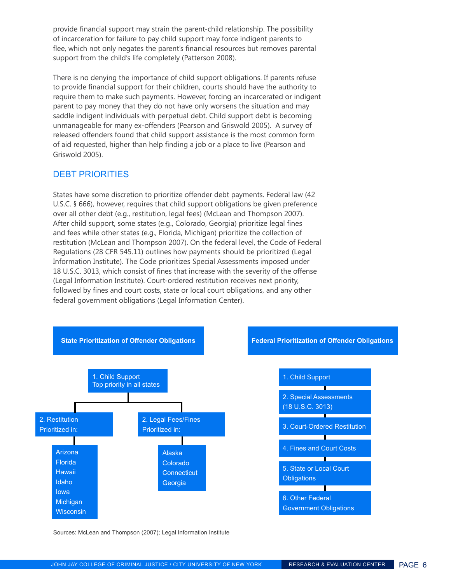provide financial support may strain the parent-child relationship. The possibility of incarceration for failure to pay child support may force indigent parents to flee, which not only negates the parent's financial resources but removes parental support from the child's life completely (Patterson 2008).

There is no denying the importance of child support obligations. If parents refuse to provide financial support for their children, courts should have the authority to require them to make such payments. However, forcing an incarcerated or indigent parent to pay money that they do not have only worsens the situation and may saddle indigent individuals with perpetual debt. Child support debt is becoming unmanageable for many ex-offenders (Pearson and Griswold 2005). A survey of released offenders found that child support assistance is the most common form of aid requested, higher than help finding a job or a place to live (Pearson and Griswold 2005).

#### debt priorities

States have some discretion to prioritize offender debt payments. Federal law (42 U.S.C. § 666), however, requires that child support obligations be given preference over all other debt (e.g., restitution, legal fees) (McLean and Thompson 2007). After child support, some states (e.g., Colorado, Georgia) prioritize legal fines and fees while other states (e.g., Florida, Michigan) prioritize the collection of restitution (McLean and Thompson 2007). On the federal level, the Code of Federal Regulations (28 CFR 545.11) outlines how payments should be prioritized (Legal Information Institute). The Code prioritizes Special Assessments imposed under 18 U.S.C. 3013, which consist of fines that increase with the severity of the offense (Legal Information Institute). Court-ordered restitution receives next priority, followed by fines and court costs, state or local court obligations, and any other federal government obligations (Legal Information Center).



Sources: McLean and Thompson (2007); Legal Information Institute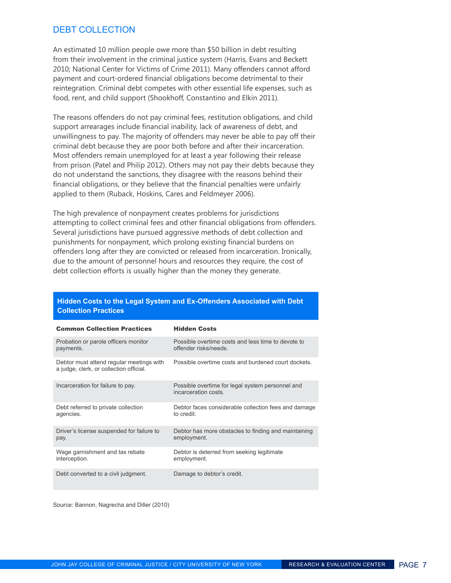#### DEBT COLLECTION

An estimated 10 million people owe more than \$50 billion in debt resulting from their involvement in the criminal justice system (Harris, Evans and Beckett 2010; National Center for Victims of Crime 2011). Many offenders cannot afford payment and court-ordered financial obligations become detrimental to their reintegration. Criminal debt competes with other essential life expenses, such as food, rent, and child support (Shookhoff, Constantino and Elkin 2011).

The reasons offenders do not pay criminal fees, restitution obligations, and child support arrearages include financial inability, lack of awareness of debt, and unwillingness to pay. The majority of offenders may never be able to pay off their criminal debt because they are poor both before and after their incarceration. Most offenders remain unemployed for at least a year following their release from prison (Patel and Philip 2012). Others may not pay their debts because they do not understand the sanctions, they disagree with the reasons behind their financial obligations, or they believe that the financial penalties were unfairly applied to them (Ruback, Hoskins, Cares and Feldmeyer 2006).

The high prevalence of nonpayment creates problems for jurisdictions attempting to collect criminal fees and other financial obligations from offenders. Several jurisdictions have pursued aggressive methods of debt collection and punishments for nonpayment, which prolong existing financial burdens on offenders long after they are convicted or released from incarceration. Ironically, due to the amount of personnel hours and resources they require, the cost of debt collection efforts is usually higher than the money they generate.

| <b>Common Collection Practices</b>                                                  | <b>Hidden Costs</b>                                                     |
|-------------------------------------------------------------------------------------|-------------------------------------------------------------------------|
| Probation or parole officers monitor                                                | Possible overtime costs and less time to devote to                      |
| payments.                                                                           | offender risks/needs.                                                   |
| Debtor must attend regular meetings with<br>a judge, clerk, or collection official. | Possible overtime costs and burdened court dockets.                     |
| Incarceration for failure to pay.                                                   | Possible overtime for legal system personnel and<br>incarceration costs |
| Debt referred to private collection                                                 | Debtor faces considerable collection fees and damage                    |
| agencies.                                                                           | to credit.                                                              |
| Driver's license suspended for failure to                                           | Debtor has more obstacles to finding and maintaining                    |
| pay.                                                                                | employment.                                                             |
| Wage garnishment and tax rebate                                                     | Debtor is deterred from seeking legitimate                              |
| interception.                                                                       | employment.                                                             |
| Debt converted to a civil judgment.                                                 | Damage to debtor's credit.                                              |

#### **Hidden Costs to the Legal System and Ex-Offenders Associated with Debt Collection Practices**

Source: Bannon, Nagrecha and Diller (2010)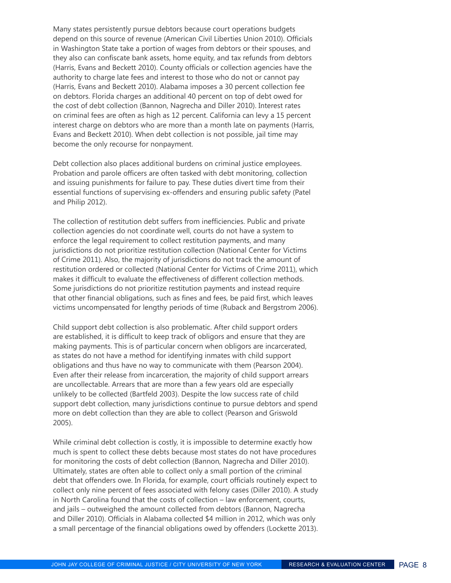Many states persistently pursue debtors because court operations budgets depend on this source of revenue (American Civil Liberties Union 2010). Officials in Washington State take a portion of wages from debtors or their spouses, and they also can confiscate bank assets, home equity, and tax refunds from debtors (Harris, Evans and Beckett 2010). County officials or collection agencies have the authority to charge late fees and interest to those who do not or cannot pay (Harris, Evans and Beckett 2010). Alabama imposes a 30 percent collection fee on debtors. Florida charges an additional 40 percent on top of debt owed for the cost of debt collection (Bannon, Nagrecha and Diller 2010). Interest rates on criminal fees are often as high as 12 percent. California can levy a 15 percent interest charge on debtors who are more than a month late on payments (Harris, Evans and Beckett 2010). When debt collection is not possible, jail time may become the only recourse for nonpayment.

Debt collection also places additional burdens on criminal justice employees. Probation and parole officers are often tasked with debt monitoring, collection and issuing punishments for failure to pay. These duties divert time from their essential functions of supervising ex-offenders and ensuring public safety (Patel and Philip 2012).

The collection of restitution debt suffers from inefficiencies. Public and private collection agencies do not coordinate well, courts do not have a system to enforce the legal requirement to collect restitution payments, and many jurisdictions do not prioritize restitution collection (National Center for Victims of Crime 2011). Also, the majority of jurisdictions do not track the amount of restitution ordered or collected (National Center for Victims of Crime 2011), which makes it difficult to evaluate the effectiveness of different collection methods. Some jurisdictions do not prioritize restitution payments and instead require that other financial obligations, such as fines and fees, be paid first, which leaves victims uncompensated for lengthy periods of time (Ruback and Bergstrom 2006).

Child support debt collection is also problematic. After child support orders are established, it is difficult to keep track of obligors and ensure that they are making payments. This is of particular concern when obligors are incarcerated, as states do not have a method for identifying inmates with child support obligations and thus have no way to communicate with them (Pearson 2004). Even after their release from incarceration, the majority of child support arrears are uncollectable. Arrears that are more than a few years old are especially unlikely to be collected (Bartfeld 2003). Despite the low success rate of child support debt collection, many jurisdictions continue to pursue debtors and spend more on debt collection than they are able to collect (Pearson and Griswold 2005).

While criminal debt collection is costly, it is impossible to determine exactly how much is spent to collect these debts because most states do not have procedures for monitoring the costs of debt collection (Bannon, Nagrecha and Diller 2010). Ultimately, states are often able to collect only a small portion of the criminal debt that offenders owe. In Florida, for example, court officials routinely expect to collect only nine percent of fees associated with felony cases (Diller 2010). A study in North Carolina found that the costs of collection – law enforcement, courts, and jails – outweighed the amount collected from debtors (Bannon, Nagrecha and Diller 2010). Officials in Alabama collected \$4 million in 2012, which was only a small percentage of the financial obligations owed by offenders (Lockette 2013).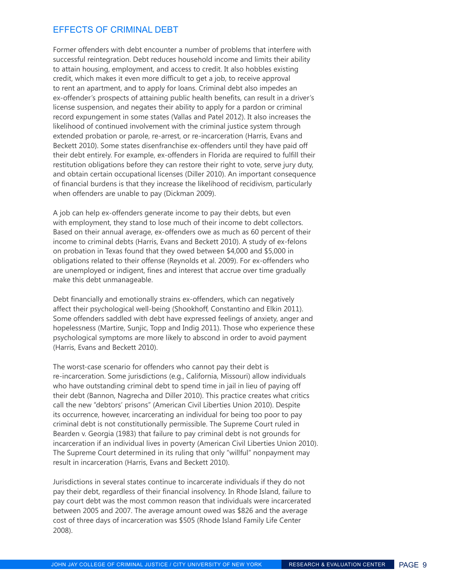#### effects of criminal debt

Former offenders with debt encounter a number of problems that interfere with successful reintegration. Debt reduces household income and limits their ability to attain housing, employment, and access to credit. It also hobbles existing credit, which makes it even more difficult to get a job, to receive approval to rent an apartment, and to apply for loans. Criminal debt also impedes an ex-offender's prospects of attaining public health benefits, can result in a driver's license suspension, and negates their ability to apply for a pardon or criminal record expungement in some states (Vallas and Patel 2012). It also increases the likelihood of continued involvement with the criminal justice system through extended probation or parole, re-arrest, or re-incarceration (Harris, Evans and Beckett 2010). Some states disenfranchise ex-offenders until they have paid off their debt entirely. For example, ex-offenders in Florida are required to fulfill their restitution obligations before they can restore their right to vote, serve jury duty, and obtain certain occupational licenses (Diller 2010). An important consequence of financial burdens is that they increase the likelihood of recidivism, particularly when offenders are unable to pay (Dickman 2009).

A job can help ex-offenders generate income to pay their debts, but even with employment, they stand to lose much of their income to debt collectors. Based on their annual average, ex-offenders owe as much as 60 percent of their income to criminal debts (Harris, Evans and Beckett 2010). A study of ex-felons on probation in Texas found that they owed between \$4,000 and \$5,000 in obligations related to their offense (Reynolds et al. 2009). For ex-offenders who are unemployed or indigent, fines and interest that accrue over time gradually make this debt unmanageable.

Debt financially and emotionally strains ex-offenders, which can negatively affect their psychological well-being (Shookhoff, Constantino and Elkin 2011). Some offenders saddled with debt have expressed feelings of anxiety, anger and hopelessness (Martire, Sunjic, Topp and Indig 2011). Those who experience these psychological symptoms are more likely to abscond in order to avoid payment (Harris, Evans and Beckett 2010).

The worst-case scenario for offenders who cannot pay their debt is re-incarceration. Some jurisdictions (e.g., California, Missouri) allow individuals who have outstanding criminal debt to spend time in jail in lieu of paying off their debt (Bannon, Nagrecha and Diller 2010). This practice creates what critics call the new "debtors' prisons" (American Civil Liberties Union 2010). Despite its occurrence, however, incarcerating an individual for being too poor to pay criminal debt is not constitutionally permissible. The Supreme Court ruled in Bearden v. Georgia (1983) that failure to pay criminal debt is not grounds for incarceration if an individual lives in poverty (American Civil Liberties Union 2010). The Supreme Court determined in its ruling that only "willful" nonpayment may result in incarceration (Harris, Evans and Beckett 2010).

Jurisdictions in several states continue to incarcerate individuals if they do not pay their debt, regardless of their financial insolvency. In Rhode Island, failure to pay court debt was the most common reason that individuals were incarcerated between 2005 and 2007. The average amount owed was \$826 and the average cost of three days of incarceration was \$505 (Rhode Island Family Life Center 2008).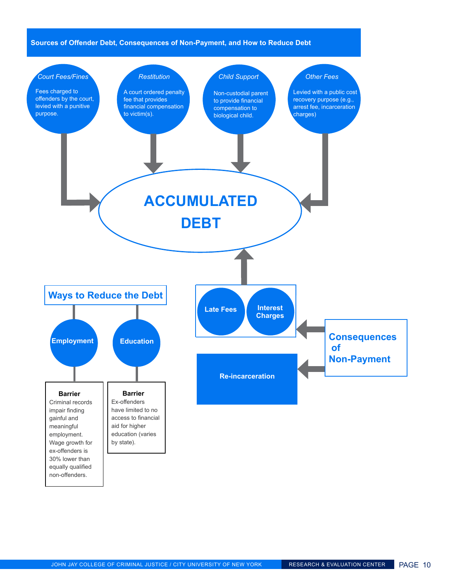#### **Sources of Offender Debt, Consequences of Non-Payment, and How to Reduce Debt**

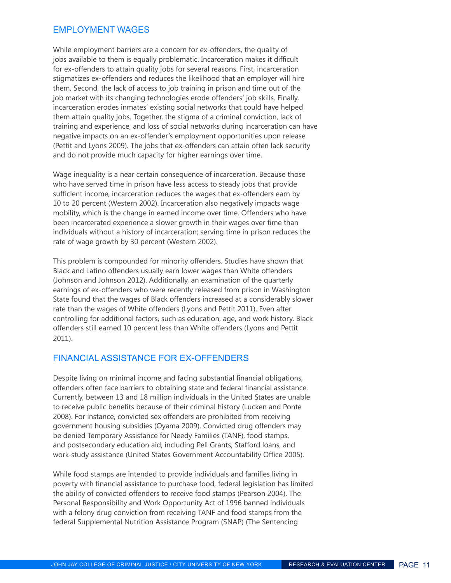#### employment wages

While employment barriers are a concern for ex-offenders, the quality of jobs available to them is equally problematic. Incarceration makes it difficult for ex-offenders to attain quality jobs for several reasons. First, incarceration stigmatizes ex-offenders and reduces the likelihood that an employer will hire them. Second, the lack of access to job training in prison and time out of the job market with its changing technologies erode offenders' job skills. Finally, incarceration erodes inmates' existing social networks that could have helped them attain quality jobs. Together, the stigma of a criminal conviction, lack of training and experience, and loss of social networks during incarceration can have negative impacts on an ex-offender's employment opportunities upon release (Pettit and Lyons 2009). The jobs that ex-offenders can attain often lack security and do not provide much capacity for higher earnings over time.

Wage inequality is a near certain consequence of incarceration. Because those who have served time in prison have less access to steady jobs that provide sufficient income, incarceration reduces the wages that ex-offenders earn by 10 to 20 percent (Western 2002). Incarceration also negatively impacts wage mobility, which is the change in earned income over time. Offenders who have been incarcerated experience a slower growth in their wages over time than individuals without a history of incarceration; serving time in prison reduces the rate of wage growth by 30 percent (Western 2002).

This problem is compounded for minority offenders. Studies have shown that Black and Latino offenders usually earn lower wages than White offenders (Johnson and Johnson 2012). Additionally, an examination of the quarterly earnings of ex-offenders who were recently released from prison in Washington State found that the wages of Black offenders increased at a considerably slower rate than the wages of White offenders (Lyons and Pettit 2011). Even after controlling for additional factors, such as education, age, and work history, Black offenders still earned 10 percent less than White offenders (Lyons and Pettit 2011).

#### financial assistance for ex-offenders

Despite living on minimal income and facing substantial financial obligations, offenders often face barriers to obtaining state and federal financial assistance. Currently, between 13 and 18 million individuals in the United States are unable to receive public benefits because of their criminal history (Lucken and Ponte 2008). For instance, convicted sex offenders are prohibited from receiving government housing subsidies (Oyama 2009). Convicted drug offenders may be denied Temporary Assistance for Needy Families (TANF), food stamps, and postsecondary education aid, including Pell Grants, Stafford loans, and work-study assistance (United States Government Accountability Office 2005).

While food stamps are intended to provide individuals and families living in poverty with financial assistance to purchase food, federal legislation has limited the ability of convicted offenders to receive food stamps (Pearson 2004). The Personal Responsibility and Work Opportunity Act of 1996 banned individuals with a felony drug conviction from receiving TANF and food stamps from the federal Supplemental Nutrition Assistance Program (SNAP) (The Sentencing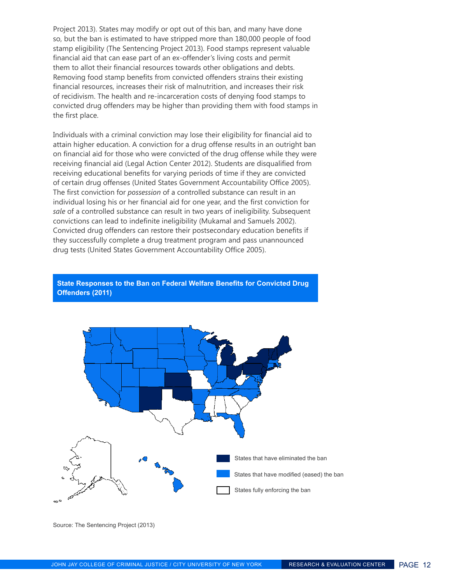Project 2013). States may modify or opt out of this ban, and many have done so, but the ban is estimated to have stripped more than 180,000 people of food stamp eligibility (The Sentencing Project 2013). Food stamps represent valuable financial aid that can ease part of an ex-offender's living costs and permit them to allot their financial resources towards other obligations and debts. Removing food stamp benefits from convicted offenders strains their existing financial resources, increases their risk of malnutrition, and increases their risk of recidivism. The health and re-incarceration costs of denying food stamps to convicted drug offenders may be higher than providing them with food stamps in the first place.

Individuals with a criminal conviction may lose their eligibility for financial aid to attain higher education. A conviction for a drug offense results in an outright ban on financial aid for those who were convicted of the drug offense while they were receiving financial aid (Legal Action Center 2012). Students are disqualified from receiving educational benefits for varying periods of time if they are convicted of certain drug offenses (United States Government Accountability Office 2005). The first conviction for *possession* of a controlled substance can result in an individual losing his or her financial aid for one year, and the first conviction for *sale* of a controlled substance can result in two years of ineligibility. Subsequent convictions can lead to indefinite ineligibility (Mukamal and Samuels 2002). Convicted drug offenders can restore their postsecondary education benefits if they successfully complete a drug treatment program and pass unannounced drug tests (United States Government Accountability Office 2005).





Source: The Sentencing Project (2013)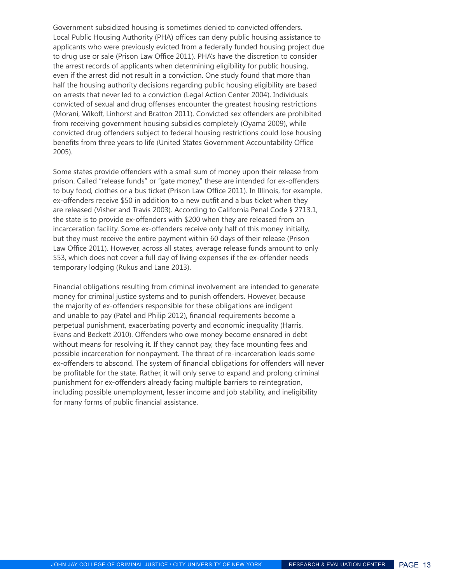Government subsidized housing is sometimes denied to convicted offenders. Local Public Housing Authority (PHA) offices can deny public housing assistance to applicants who were previously evicted from a federally funded housing project due to drug use or sale (Prison Law Office 2011). PHA's have the discretion to consider the arrest records of applicants when determining eligibility for public housing, even if the arrest did not result in a conviction. One study found that more than half the housing authority decisions regarding public housing eligibility are based on arrests that never led to a conviction (Legal Action Center 2004). Individuals convicted of sexual and drug offenses encounter the greatest housing restrictions (Morani, Wikoff, Linhorst and Bratton 2011). Convicted sex offenders are prohibited from receiving government housing subsidies completely (Oyama 2009), while convicted drug offenders subject to federal housing restrictions could lose housing benefits from three years to life (United States Government Accountability Office 2005).

Some states provide offenders with a small sum of money upon their release from prison. Called "release funds" or "gate money," these are intended for ex-offenders to buy food, clothes or a bus ticket (Prison Law Office 2011). In Illinois, for example, ex-offenders receive \$50 in addition to a new outfit and a bus ticket when they are released (Visher and Travis 2003). According to California Penal Code § 2713.1, the state is to provide ex-offenders with \$200 when they are released from an incarceration facility. Some ex-offenders receive only half of this money initially, but they must receive the entire payment within 60 days of their release (Prison Law Office 2011). However, across all states, average release funds amount to only \$53, which does not cover a full day of living expenses if the ex-offender needs temporary lodging (Rukus and Lane 2013).

Financial obligations resulting from criminal involvement are intended to generate money for criminal justice systems and to punish offenders. However, because the majority of ex-offenders responsible for these obligations are indigent and unable to pay (Patel and Philip 2012), financial requirements become a perpetual punishment, exacerbating poverty and economic inequality (Harris, Evans and Beckett 2010). Offenders who owe money become ensnared in debt without means for resolving it. If they cannot pay, they face mounting fees and possible incarceration for nonpayment. The threat of re-incarceration leads some ex-offenders to abscond. The system of financial obligations for offenders will never be profitable for the state. Rather, it will only serve to expand and prolong criminal punishment for ex-offenders already facing multiple barriers to reintegration, including possible unemployment, lesser income and job stability, and ineligibility for many forms of public financial assistance.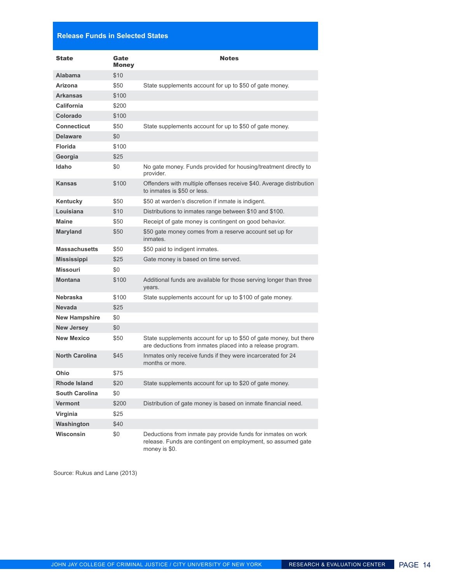#### **Release Funds in Selected States**

| <b>State</b>          | Gate<br>Money | <b>Notes</b>                                                                                                                                  |
|-----------------------|---------------|-----------------------------------------------------------------------------------------------------------------------------------------------|
| <b>Alabama</b>        | \$10          |                                                                                                                                               |
| Arizona               | \$50          | State supplements account for up to \$50 of gate money.                                                                                       |
| <b>Arkansas</b>       | \$100         |                                                                                                                                               |
| California            | \$200         |                                                                                                                                               |
| Colorado              | \$100         |                                                                                                                                               |
| <b>Connecticut</b>    | \$50          | State supplements account for up to \$50 of gate money.                                                                                       |
| <b>Delaware</b>       | \$0           |                                                                                                                                               |
| <b>Florida</b>        | \$100         |                                                                                                                                               |
| Georgia               | \$25          |                                                                                                                                               |
| Idaho                 | \$0           | No gate money. Funds provided for housing/treatment directly to<br>provider.                                                                  |
| Kansas                | \$100         | Offenders with multiple offenses receive \$40. Average distribution<br>to inmates is \$50 or less.                                            |
| Kentucky              | \$50          | \$50 at warden's discretion if inmate is indigent.                                                                                            |
| Louisiana             | \$10          | Distributions to inmates range between \$10 and \$100.                                                                                        |
| <b>Maine</b>          | \$50          | Receipt of gate money is contingent on good behavior.                                                                                         |
| <b>Maryland</b>       | \$50          | \$50 gate money comes from a reserve account set up for<br>inmates.                                                                           |
| <b>Massachusetts</b>  | \$50          | \$50 paid to indigent inmates.                                                                                                                |
| <b>Mississippi</b>    | \$25          | Gate money is based on time served.                                                                                                           |
| <b>Missouri</b>       | \$0           |                                                                                                                                               |
| <b>Montana</b>        | \$100         | Additional funds are available for those serving longer than three<br>years.                                                                  |
| <b>Nebraska</b>       | \$100         | State supplements account for up to \$100 of gate money.                                                                                      |
| <b>Nevada</b>         | \$25          |                                                                                                                                               |
| <b>New Hampshire</b>  | \$0           |                                                                                                                                               |
| <b>New Jersey</b>     | \$0           |                                                                                                                                               |
| <b>New Mexico</b>     | \$50          | State supplements account for up to \$50 of gate money, but there<br>are deductions from inmates placed into a release program.               |
| <b>North Carolina</b> | \$45          | Inmates only receive funds if they were incarcerated for 24<br>months or more.                                                                |
| Ohio                  | \$75          |                                                                                                                                               |
| <b>Rhode Island</b>   | \$20          | State supplements account for up to \$20 of gate money.                                                                                       |
| <b>South Carolina</b> | \$0           |                                                                                                                                               |
| <b>Vermont</b>        | \$200         | Distribution of gate money is based on inmate financial need.                                                                                 |
| Virginia              | \$25          |                                                                                                                                               |
| Washington            | \$40          |                                                                                                                                               |
| <b>Wisconsin</b>      | \$0           | Deductions from inmate pay provide funds for inmates on work<br>release. Funds are contingent on employment, so assumed gate<br>money is \$0. |

Source: Rukus and Lane (2013)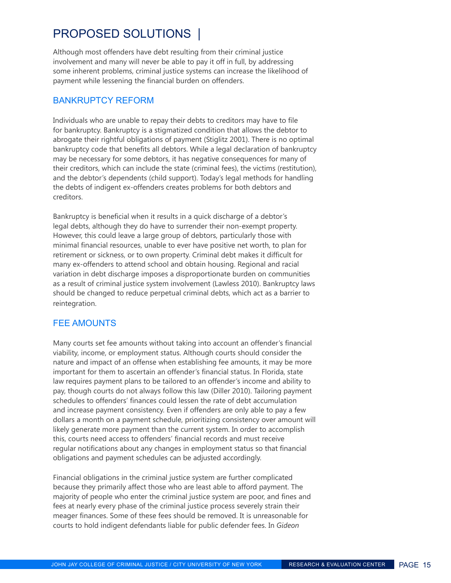## proposed solutions |

Although most offenders have debt resulting from their criminal justice involvement and many will never be able to pay it off in full, by addressing some inherent problems, criminal justice systems can increase the likelihood of payment while lessening the financial burden on offenders.

#### Bankruptcy reform

Individuals who are unable to repay their debts to creditors may have to file for bankruptcy. Bankruptcy is a stigmatized condition that allows the debtor to abrogate their rightful obligations of payment (Stiglitz 2001). There is no optimal bankruptcy code that benefits all debtors. While a legal declaration of bankruptcy may be necessary for some debtors, it has negative consequences for many of their creditors, which can include the state (criminal fees), the victims (restitution), and the debtor's dependents (child support). Today's legal methods for handling the debts of indigent ex-offenders creates problems for both debtors and creditors.

Bankruptcy is beneficial when it results in a quick discharge of a debtor's legal debts, although they do have to surrender their non-exempt property. However, this could leave a large group of debtors, particularly those with minimal financial resources, unable to ever have positive net worth, to plan for retirement or sickness, or to own property. Criminal debt makes it difficult for many ex-offenders to attend school and obtain housing. Regional and racial variation in debt discharge imposes a disproportionate burden on communities as a result of criminal justice system involvement (Lawless 2010). Bankruptcy laws should be changed to reduce perpetual criminal debts, which act as a barrier to reintegration.

#### FEE AMOUNTS

Many courts set fee amounts without taking into account an offender's financial viability, income, or employment status. Although courts should consider the nature and impact of an offense when establishing fee amounts, it may be more important for them to ascertain an offender's financial status. In Florida, state law requires payment plans to be tailored to an offender's income and ability to pay, though courts do not always follow this law (Diller 2010). Tailoring payment schedules to offenders' finances could lessen the rate of debt accumulation and increase payment consistency. Even if offenders are only able to pay a few dollars a month on a payment schedule, prioritizing consistency over amount will likely generate more payment than the current system. In order to accomplish this, courts need access to offenders' financial records and must receive regular notifications about any changes in employment status so that financial obligations and payment schedules can be adjusted accordingly.

Financial obligations in the criminal justice system are further complicated because they primarily affect those who are least able to afford payment. The majority of people who enter the criminal justice system are poor, and fines and fees at nearly every phase of the criminal justice process severely strain their meager finances. Some of these fees should be removed. It is unreasonable for courts to hold indigent defendants liable for public defender fees. In *Gideon*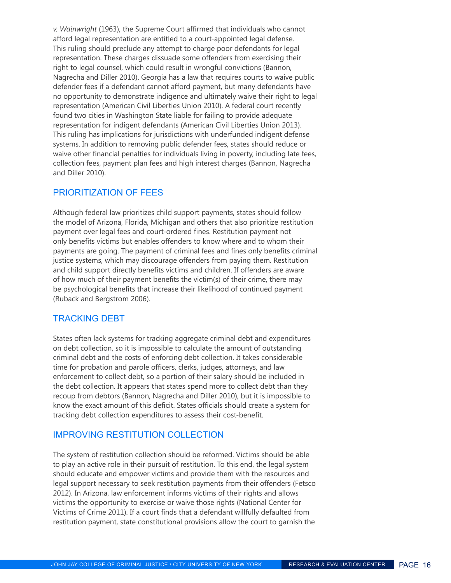*v. Wainwright* (1963), the Supreme Court affirmed that individuals who cannot afford legal representation are entitled to a court-appointed legal defense. This ruling should preclude any attempt to charge poor defendants for legal representation. These charges dissuade some offenders from exercising their right to legal counsel, which could result in wrongful convictions (Bannon, Nagrecha and Diller 2010). Georgia has a law that requires courts to waive public defender fees if a defendant cannot afford payment, but many defendants have no opportunity to demonstrate indigence and ultimately waive their right to legal representation (American Civil Liberties Union 2010). A federal court recently found two cities in Washington State liable for failing to provide adequate representation for indigent defendants (American Civil Liberties Union 2013). This ruling has implications for jurisdictions with underfunded indigent defense systems. In addition to removing public defender fees, states should reduce or waive other financial penalties for individuals living in poverty, including late fees, collection fees, payment plan fees and high interest charges (Bannon, Nagrecha and Diller 2010).

#### prioritization of fees

Although federal law prioritizes child support payments, states should follow the model of Arizona, Florida, Michigan and others that also prioritize restitution payment over legal fees and court-ordered fines. Restitution payment not only benefits victims but enables offenders to know where and to whom their payments are going. The payment of criminal fees and fines only benefits criminal justice systems, which may discourage offenders from paying them. Restitution and child support directly benefits victims and children. If offenders are aware of how much of their payment benefits the victim(s) of their crime, there may be psychological benefits that increase their likelihood of continued payment (Ruback and Bergstrom 2006).

#### Tracking debt

States often lack systems for tracking aggregate criminal debt and expenditures on debt collection, so it is impossible to calculate the amount of outstanding criminal debt and the costs of enforcing debt collection. It takes considerable time for probation and parole officers, clerks, judges, attorneys, and law enforcement to collect debt, so a portion of their salary should be included in the debt collection. It appears that states spend more to collect debt than they recoup from debtors (Bannon, Nagrecha and Diller 2010), but it is impossible to know the exact amount of this deficit. States officials should create a system for tracking debt collection expenditures to assess their cost-benefit.

#### improving restitution collection

The system of restitution collection should be reformed. Victims should be able to play an active role in their pursuit of restitution. To this end, the legal system should educate and empower victims and provide them with the resources and legal support necessary to seek restitution payments from their offenders (Fetsco 2012). In Arizona, law enforcement informs victims of their rights and allows victims the opportunity to exercise or waive those rights (National Center for Victims of Crime 2011). If a court finds that a defendant willfully defaulted from restitution payment, state constitutional provisions allow the court to garnish the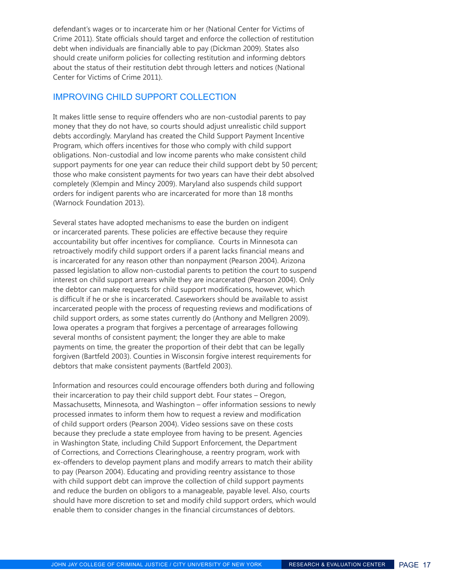defendant's wages or to incarcerate him or her (National Center for Victims of Crime 2011). State officials should target and enforce the collection of restitution debt when individuals are financially able to pay (Dickman 2009). States also should create uniform policies for collecting restitution and informing debtors about the status of their restitution debt through letters and notices (National Center for Victims of Crime 2011).

#### improving child support collection

It makes little sense to require offenders who are non-custodial parents to pay money that they do not have, so courts should adjust unrealistic child support debts accordingly. Maryland has created the Child Support Payment Incentive Program, which offers incentives for those who comply with child support obligations. Non-custodial and low income parents who make consistent child support payments for one year can reduce their child support debt by 50 percent; those who make consistent payments for two years can have their debt absolved completely (Klempin and Mincy 2009). Maryland also suspends child support orders for indigent parents who are incarcerated for more than 18 months (Warnock Foundation 2013).

Several states have adopted mechanisms to ease the burden on indigent or incarcerated parents. These policies are effective because they require accountability but offer incentives for compliance. Courts in Minnesota can retroactively modify child support orders if a parent lacks financial means and is incarcerated for any reason other than nonpayment (Pearson 2004). Arizona passed legislation to allow non-custodial parents to petition the court to suspend interest on child support arrears while they are incarcerated (Pearson 2004). Only the debtor can make requests for child support modifications, however, which is difficult if he or she is incarcerated. Caseworkers should be available to assist incarcerated people with the process of requesting reviews and modifications of child support orders, as some states currently do (Anthony and Mellgren 2009). Iowa operates a program that forgives a percentage of arrearages following several months of consistent payment; the longer they are able to make payments on time, the greater the proportion of their debt that can be legally forgiven (Bartfeld 2003). Counties in Wisconsin forgive interest requirements for debtors that make consistent payments (Bartfeld 2003).

Information and resources could encourage offenders both during and following their incarceration to pay their child support debt. Four states – Oregon, Massachusetts, Minnesota, and Washington – offer information sessions to newly processed inmates to inform them how to request a review and modification of child support orders (Pearson 2004). Video sessions save on these costs because they preclude a state employee from having to be present. Agencies in Washington State, including Child Support Enforcement, the Department of Corrections, and Corrections Clearinghouse, a reentry program, work with ex-offenders to develop payment plans and modify arrears to match their ability to pay (Pearson 2004). Educating and providing reentry assistance to those with child support debt can improve the collection of child support payments and reduce the burden on obligors to a manageable, payable level. Also, courts should have more discretion to set and modify child support orders, which would enable them to consider changes in the financial circumstances of debtors.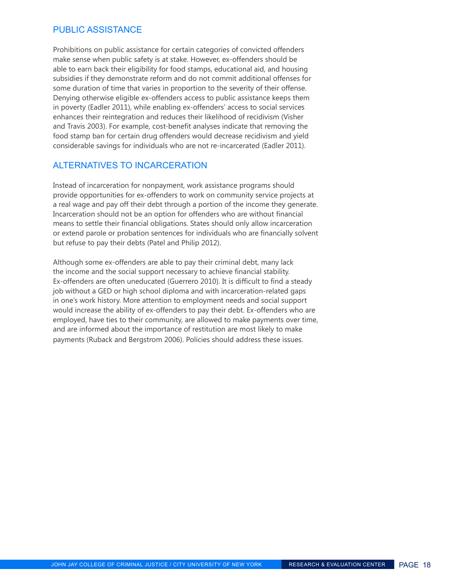#### public assistance

Prohibitions on public assistance for certain categories of convicted offenders make sense when public safety is at stake. However, ex-offenders should be able to earn back their eligibility for food stamps, educational aid, and housing subsidies if they demonstrate reform and do not commit additional offenses for some duration of time that varies in proportion to the severity of their offense. Denying otherwise eligible ex-offenders access to public assistance keeps them in poverty (Eadler 2011), while enabling ex-offenders' access to social services enhances their reintegration and reduces their likelihood of recidivism (Visher and Travis 2003). For example, cost-benefit analyses indicate that removing the food stamp ban for certain drug offenders would decrease recidivism and yield considerable savings for individuals who are not re-incarcerated (Eadler 2011).

#### Alternatives to incarceration

Instead of incarceration for nonpayment, work assistance programs should provide opportunities for ex-offenders to work on community service projects at a real wage and pay off their debt through a portion of the income they generate. Incarceration should not be an option for offenders who are without financial means to settle their financial obligations. States should only allow incarceration or extend parole or probation sentences for individuals who are financially solvent but refuse to pay their debts (Patel and Philip 2012).

Although some ex-offenders are able to pay their criminal debt, many lack the income and the social support necessary to achieve financial stability. Ex-offenders are often uneducated (Guerrero 2010). It is difficult to find a steady job without a GED or high school diploma and with incarceration-related gaps in one's work history. More attention to employment needs and social support would increase the ability of ex-offenders to pay their debt. Ex-offenders who are employed, have ties to their community, are allowed to make payments over time, and are informed about the importance of restitution are most likely to make payments (Ruback and Bergstrom 2006). Policies should address these issues.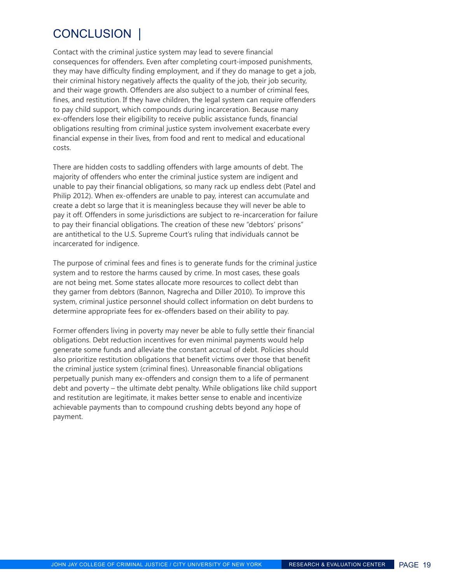## CONCLUSION |

Contact with the criminal justice system may lead to severe financial consequences for offenders. Even after completing court-imposed punishments, they may have difficulty finding employment, and if they do manage to get a job, their criminal history negatively affects the quality of the job, their job security, and their wage growth. Offenders are also subject to a number of criminal fees, fines, and restitution. If they have children, the legal system can require offenders to pay child support, which compounds during incarceration. Because many ex-offenders lose their eligibility to receive public assistance funds, financial obligations resulting from criminal justice system involvement exacerbate every financial expense in their lives, from food and rent to medical and educational costs.

There are hidden costs to saddling offenders with large amounts of debt. The majority of offenders who enter the criminal justice system are indigent and unable to pay their financial obligations, so many rack up endless debt (Patel and Philip 2012). When ex-offenders are unable to pay, interest can accumulate and create a debt so large that it is meaningless because they will never be able to pay it off. Offenders in some jurisdictions are subject to re-incarceration for failure to pay their financial obligations. The creation of these new "debtors' prisons" are antithetical to the U.S. Supreme Court's ruling that individuals cannot be incarcerated for indigence.

The purpose of criminal fees and fines is to generate funds for the criminal justice system and to restore the harms caused by crime. In most cases, these goals are not being met. Some states allocate more resources to collect debt than they garner from debtors (Bannon, Nagrecha and Diller 2010). To improve this system, criminal justice personnel should collect information on debt burdens to determine appropriate fees for ex-offenders based on their ability to pay.

Former offenders living in poverty may never be able to fully settle their financial obligations. Debt reduction incentives for even minimal payments would help generate some funds and alleviate the constant accrual of debt. Policies should also prioritize restitution obligations that benefit victims over those that benefit the criminal justice system (criminal fines). Unreasonable financial obligations perpetually punish many ex-offenders and consign them to a life of permanent debt and poverty – the ultimate debt penalty. While obligations like child support and restitution are legitimate, it makes better sense to enable and incentivize achievable payments than to compound crushing debts beyond any hope of payment.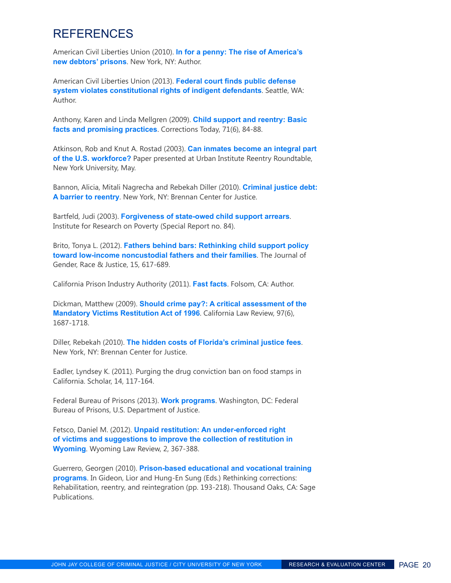### REFERENCES

American Civil Liberties Union (2010). **[In for a penny: The rise of America's](https://www.aclu.org/prisoners-rights-racial-justice/penny-rise-americas-new-debtors-prisons)  [new debtors' prisons](https://www.aclu.org/prisoners-rights-racial-justice/penny-rise-americas-new-debtors-prisons)**. New York, NY: Author.

American Civil Liberties Union (2013). **[Federal court finds public defense](https://aclu-wa.org/news/federal-court-finds-public-defense-system-violates-constitutional-rights-indigent-defendants)  [system violates constitutional rights of indigent defendants](https://aclu-wa.org/news/federal-court-finds-public-defense-system-violates-constitutional-rights-indigent-defendants)**. Seattle, WA: Author.

Anthony, Karen and Linda Mellgren (2009). **[Child support and reentry: Basic](http://www.thefreelibrary.com/Child%2Bsupport%2Band%2Breentry%253A%2Bbasic%2Bfacts%2Band%2Bpromising%2Bpractices.-a0221328159)  [facts and promising practices](http://www.thefreelibrary.com/Child%2Bsupport%2Band%2Breentry%253A%2Bbasic%2Bfacts%2Band%2Bpromising%2Bpractices.-a0221328159)**. Corrections Today, 71(6), 84-88.

Atkinson, Rob and Knut A. Rostad (2003). **[Can inmates become an integral part](http://www.urban.org/uploadedPDF/ACF8EF6.pdf)  [of the U.S. workforce?](http://www.urban.org/uploadedPDF/ACF8EF6.pdf)** Paper presented at Urban Institute Reentry Roundtable, New York University, May.

Bannon, Alicia, Mitali Nagrecha and Rebekah Diller (2010). **[Criminal justice debt:](http://www.brennancenter.org/publication/criminal-justice-debt-barrier-reentry)  [A barrier to reentry](http://www.brennancenter.org/publication/criminal-justice-debt-barrier-reentry)**. New York, NY: Brennan Center for Justice.

Bartfeld, Judi (2003). **[Forgiveness of state-owed child support arrears](http://www.irp.wisc.edu/publications/sr/pdfs/sr84.pdf)**. Institute for Research on Poverty (Special Report no. 84).

Brito, Tonya L. (2012). **[Fathers behind bars: Rethinking child support policy](http://blogs.law.uiowa.edu/jgrj/)  [toward low-income noncustodial fathers and their families](http://blogs.law.uiowa.edu/jgrj/)**. The Journal of Gender, Race & Justice, 15, 617-689.

California Prison Industry Authority (2011). **[Fast facts](http://www.pia.ca.gov/About_PIA/FastFacts.html)**. Folsom, CA: Author.

Dickman, Matthew (2009). **[Should crime pay?: A critical assessment of the](http://www.californialawreview.org/)  [Mandatory Victims Restitution Act of 1996](http://www.californialawreview.org/)**. California Law Review, 97(6), 1687-1718.

Diller, Rebekah (2010). **[The hidden costs of Florida's criminal justice fees](http://www.brennancenter.org/publication/hidden-costs-floridas-criminal-justice-fees)**. New York, NY: Brennan Center for Justice.

Eadler, Lyndsey K. (2011). Purging the drug conviction ban on food stamps in California. Scholar, 14, 117-164.

Federal Bureau of Prisons (2013). **[Work programs](http://www.bop.gov/inmate_programs/work_prgms.jsp)**. Washington, DC: Federal Bureau of Prisons, U.S. Department of Justice.

Fetsco, Daniel M. (2012). **[Unpaid restitution: An under-enforced right](http://www.uwyo.edu/law/wyoming-law-review/)  [of victims and suggestions to improve the collection of restitution in](http://www.uwyo.edu/law/wyoming-law-review/)  [Wyoming](http://www.uwyo.edu/law/wyoming-law-review/)**. Wyoming Law Review, 2, 367-388.

Guerrero, Georgen (2010). **[Prison-based educational and vocational training](http://www.sagepub.com/textbooks/Book233218)  [programs](http://www.sagepub.com/textbooks/Book233218)**. In Gideon, Lior and Hung-En Sung (Eds.) Rethinking corrections: Rehabilitation, reentry, and reintegration (pp. 193-218). Thousand Oaks, CA: Sage Publications.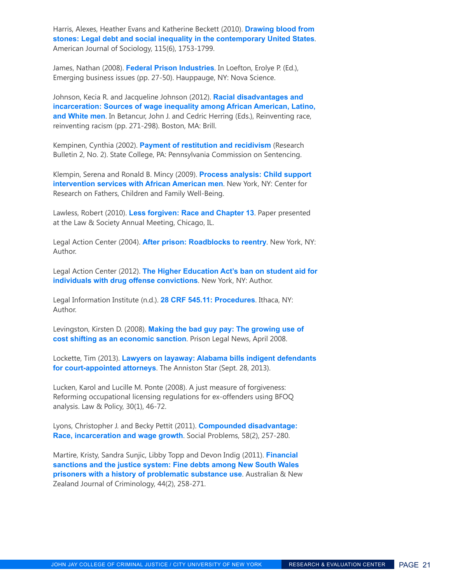Harris, Alexes, Heather Evans and Katherine Beckett (2010). **[Drawing blood from](http://www.press.uchicago.edu/ucp/journals/journal/ajs.html)  [stones: Legal debt and social inequality in the contemporary United States](http://www.press.uchicago.edu/ucp/journals/journal/ajs.html)**. American Journal of Sociology, 115(6), 1753-1799.

James, Nathan (2008). **[Federal Prison Industries](https://www.novapublishers.com/catalog/index.php)**. In Loefton, Erolye P. (Ed.), Emerging business issues (pp. 27-50). Hauppauge, NY: Nova Science.

Johnson, Kecia R. and Jacqueline Johnson (2012). **[Racial disadvantages and](http://www.brill.com/reinventing-race-reinventing-racism)  [incarceration: Sources of wage inequality among African American, Latino,](http://www.brill.com/reinventing-race-reinventing-racism)  [and White men](http://www.brill.com/reinventing-race-reinventing-racism)**. In Betancur, John J. and Cedric Herring (Eds.), Reinventing race, reinventing racism (pp. 271-298). Boston, MA: Brill.

Kempinen, Cynthia (2002). **[Payment of restitution and recidivism](http://pcs.la.psu.edu/)** (Research Bulletin 2, No. 2). State College, PA: Pennsylvania Commission on Sentencing.

Klempin, Serena and Ronald B. Mincy (2009). **[Process analysis: Child support](http://tinyurl.com/nmbum35)  [intervention services with African American men](http://tinyurl.com/nmbum35)**. New York, NY: Center for Research on Fathers, Children and Family Well-Being.

Lawless, Robert (2010). **[Less forgiven: Race and Chapter 13](http://citation.allacademic.com/meta/p_mla_apa_research_citation/4/0/6/8/9/p406894_index.html)**. Paper presented at the Law & Society Annual Meeting, Chicago, IL.

Legal Action Center (2004). **[After prison: Roadblocks to reentry](http://tinyurl.com/7424cmt)**. New York, NY: Author.

Legal Action Center (2012). **[The Higher Education Act's ban on student aid for](http://www.lac.org/doc_library/lac/publications/HEA_Drug_Offense_Ban_on_Federal_Student_Aid_LAC_one-pager.pdf)  [individuals with drug offense convictions](http://www.lac.org/doc_library/lac/publications/HEA_Drug_Offense_Ban_on_Federal_Student_Aid_LAC_one-pager.pdf)**. New York, NY: Author.

Legal Information Institute (n.d.). **[28 CRF 545.11: Procedures](http://www.law.cornell.edu/cfr/text/28/545.11)**. Ithaca, NY: Author.

Levingston, Kirsten D. (2008). **[Making the bad guy pay: The growing use of](https://www.prisonlegalnews.org/news/2008/apr/15/making-the-bad-guy-pay-the-growing-use-of-cost-shifting-as-an-economic-sanction/)  [cost shifting as an economic sanction](https://www.prisonlegalnews.org/news/2008/apr/15/making-the-bad-guy-pay-the-growing-use-of-cost-shifting-as-an-economic-sanction/)**. Prison Legal News, April 2008.

Lockette, Tim (2013). **[Lawyers on layaway: Alabama bills indigent defendants](http://www.annistonstar.com/news/article_0a05b26b-7ecc-5e2d-ade7-5a7797ce2da7.html)  [for court-appointed attorneys](http://www.annistonstar.com/news/article_0a05b26b-7ecc-5e2d-ade7-5a7797ce2da7.html)**. The Anniston Star (Sept. 28, 2013).

Lucken, Karol and Lucille M. Ponte (2008). A just measure of forgiveness: Reforming occupational licensing regulations for ex-offenders using BFOQ analysis. Law & Policy, 30(1), 46-72.

Lyons, Christopher J. and Becky Pettit (2011). **[Compounded disadvantage:](http://ucpressjournals.com/journalcat.php)  [Race, incarceration and wage growth](http://ucpressjournals.com/journalcat.php)**. Social Problems, 58(2), 257-280.

Martire, Kristy, Sandra Sunjic, Libby Topp and Devon Indig (2011). **[Financial](http://anj.sagepub.com/)  [sanctions and the justice system: Fine debts among New South Wales](http://anj.sagepub.com/)  [prisoners with a history of problematic substance use](http://anj.sagepub.com/)**. Australian & New Zealand Journal of Criminology, 44(2), 258-271.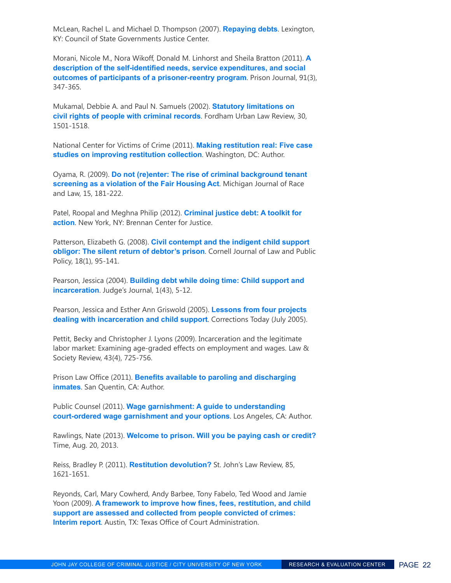McLean, Rachel L. and Michael D. Thompson (2007). **[Repaying debts](http://tinyurl.com/o5hjkc3)**. Lexington, KY: Council of State Governments Justice Center.

Morani, Nicole M., Nora Wikoff, Donald M. Linhorst and Sheila Bratton (2011). **[A](http://tpj.sagepub.com/)  [description of the self-identified needs, service expenditures, and social](http://tpj.sagepub.com/)  [outcomes of participants of a prisoner-reentry program](http://tpj.sagepub.com/)**. Prison Journal, 91(3), 347-365.

Mukamal, Debbie A. and Paul N. Samuels (2002). **[Statutory limitations on](http://law.fordham.edu/fordham-urban-law-journal/ulj.htm)  [civil rights of people with criminal records](http://law.fordham.edu/fordham-urban-law-journal/ulj.htm)**. Fordham Urban Law Review, 30, 1501-1518.

National Center for Victims of Crime (2011). **[Making restitution real: Five case](http://tinyurl.com/lvroq5z)  [studies on improving restitution collection](http://tinyurl.com/lvroq5z)**. Washington, DC: Author.

Oyama, R. (2009). **[Do not \(re\)enter: The rise of criminal background tenant](http://students.law.umich.edu/mjrl/)  [screening as a violation of the Fair Housing Act](http://students.law.umich.edu/mjrl/)**. Michigan Journal of Race and Law, 15, 181-222.

Patel, Roopal and Meghna Philip (2012). **[Criminal justice debt: A toolkit for](http://www.brennancenter.org/publication/criminal-justice-debt-toolkit-action)  [action](http://www.brennancenter.org/publication/criminal-justice-debt-toolkit-action)**. New York, NY: Brennan Center for Justice.

Patterson, Elizabeth G. (2008). **[Civil contempt and the indigent child support](http://www.lawschool.cornell.edu/research/jlpp/)  [obligor: The silent return of debtor's prison](http://www.lawschool.cornell.edu/research/jlpp/)**. Cornell Journal of Law and Public Policy, 18(1), 95-141.

Pearson, Jessica (2004). **[Building debt while doing time: Child support and](https://peerta.acf.hhs.gov/uploadedFiles/BuildingDebt.pdf)  [incarceration](https://peerta.acf.hhs.gov/uploadedFiles/BuildingDebt.pdf)**. Judge's Journal, 1(43), 5-12.

Pearson, Jessica and Esther Ann Griswold (2005). **[Lessons from four projects](http://www.thefreelibrary.com/Lessons%2Bfrom%2Bfour%2Bprojects%2Bdealing%2Bwith%2Bincarceration%2Band%2Bchild...-a0134293586)  [dealing with incarceration and child support](http://www.thefreelibrary.com/Lessons%2Bfrom%2Bfour%2Bprojects%2Bdealing%2Bwith%2Bincarceration%2Band%2Bchild...-a0134293586)**. Corrections Today (July 2005).

Pettit, Becky and Christopher J. Lyons (2009). Incarceration and the legitimate labor market: Examining age-graded effects on employment and wages. Law & Society Review, 43(4), 725-756.

Prison Law Office (2011). **[Benefits available to paroling and discharging](http://www.prisonlaw.com/)  [inmates](http://www.prisonlaw.com/)**. San Quentin, CA: Author.

Public Counsel (2011). **[Wage garnishment: A guide to understanding](http://tinyurl.com/o9hhz2d)  [court-ordered wage garnishment and your options](http://tinyurl.com/o9hhz2d)**. Los Angeles, CA: Author.

Rawlings, Nate (2013). **[Welcome to prison. Will you be paying cash or credit?](http://tinyurl.com/n6p62ag)** Time, Aug. 20, 2013.

Reiss, Bradley P. (2011). **[Restitution devolution?](http://www.stjohns.edu/law/academic-programs/student-journals/st-johns-law-review)** St. John's Law Review, 85, 1621-1651.

Reyonds, Carl, Mary Cowherd, Andy Barbee, Tony Fabelo, Ted Wood and Jamie Yoon (2009). **[A framework to improve how fines, fees, restitution, and child](http://www.courts.state.tx.us/oca/debts/pdf/TexasFinancialObligationsInterimReport.pdf)  [support are assessed and collected from people convicted of crimes:](http://www.courts.state.tx.us/oca/debts/pdf/TexasFinancialObligationsInterimReport.pdf)  [Interim report](http://www.courts.state.tx.us/oca/debts/pdf/TexasFinancialObligationsInterimReport.pdf)**. Austin, TX: Texas Office of Court Administration.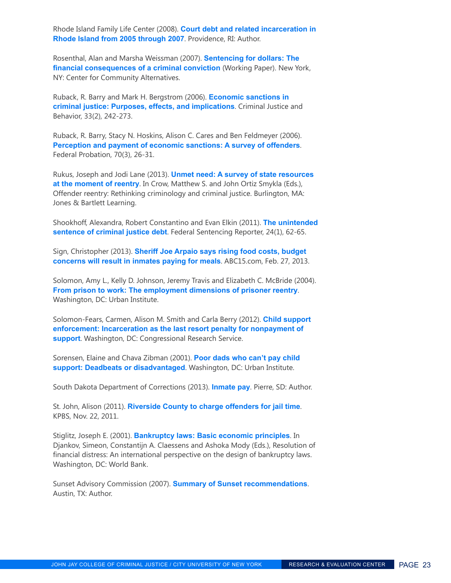Rhode Island Family Life Center (2008). **[Court debt and related incarceration in](http://www.opendoorsri.org/sites/default/files/CourtDebt.pdf)  [Rhode Island from 2005 through 2007](http://www.opendoorsri.org/sites/default/files/CourtDebt.pdf)**. Providence, RI: Author.

Rosenthal, Alan and Marsha Weissman (2007). **[Sentencing for dollars: The](http://www.communityalternatives.org/)  [financial consequences of a criminal conviction](http://www.communityalternatives.org/)** (Working Paper). New York, NY: Center for Community Alternatives.

Ruback, R. Barry and Mark H. Bergstrom (2006). **[Economic sanctions in](http://cjb.sagepub.com/)  [criminal justice: Purposes, effects, and implications](http://cjb.sagepub.com/)**. Criminal Justice and Behavior, 33(2), 242-273.

Ruback, R. Barry, Stacy N. Hoskins, Alison C. Cares and Ben Feldmeyer (2006). **[Perception and payment of economic sanctions: A survey of offenders](http://www.uscourts.gov/FederalCourts/ProbationPretrialServices/FederalProbationJournal.aspx)**. Federal Probation, 70(3), 26-31.

Rukus, Joseph and Jodi Lane (2013). **[Unmet need: A survey of state resources](http://www.jblearning.com/catalog/9781449686024/)  [at the moment of reentry](http://www.jblearning.com/catalog/9781449686024/)**. In Crow, Matthew S. and John Ortiz Smykla (Eds.), Offender reentry: Rethinking criminology and criminal justice. Burlington, MA: Jones & Bartlett Learning.

Shookhoff, Alexandra, Robert Constantino and Evan Elkin (2011). **[The unintended](http://ucpressjournals.com/journalcat.php)  [sentence of criminal justice debt](http://ucpressjournals.com/journalcat.php)**. Federal Sentencing Reporter, 24(1), 62-65.

Sign, Christopher (2013). **[Sheriff Joe Arpaio says rising food costs, budget](http://tinyurl.com/c332jb9)  [concerns will result in inmates paying for meals](http://tinyurl.com/c332jb9)**. ABC15.com, Feb. 27, 2013.

Solomon, Amy L., Kelly D. Johnson, Jeremy Travis and Elizabeth C. McBride (2004). **[From prison to work: The employment dimensions of prisoner reentry](http://www.urban.org/UploadedPDF/411097_From_Prison_to_Work.pdf)**. Washington, DC: Urban Institute.

Solomon-Fears, Carmen, Alison M. Smith and Carla Berry (2012). **[Child support](http://tinyurl.com/p9spp9v)  [enforcement: Incarceration as the last resort penalty for nonpayment of](http://tinyurl.com/p9spp9v)  [support](http://tinyurl.com/p9spp9v)**. Washington, DC: Congressional Research Service.

Sorensen, Elaine and Chava Zibman (2001). **[Poor dads who can't pay child](http://www.urban.org/publications/310334.html)  [support: Deadbeats or disadvantaged](http://www.urban.org/publications/310334.html)**. Washington, DC: Urban Institute.

South Dakota Department of Corrections (2013). **[Inmate pay](http://doc.sd.gov/)**. Pierre, SD: Author.

St. John, Alison (2011). **[Riverside County to charge offenders for jail time](http://tinyurl.com/ocejgel)**. KPBS, Nov. 22, 2011.

Stiglitz, Joseph E. (2001). **[Bankruptcy laws: Basic economic principles](http://publications.worldbank.org/index.php%3Fmain_page%3Dproduct_info%26cPath%3D0%26products_id%3D21961)**. In Djankov, Simeon, Constantijn A. Claessens and Ashoka Mody (Eds.), Resolution of financial distress: An international perspective on the design of bankruptcy laws. Washington, DC: World Bank.

Sunset Advisory Commission (2007). **[Summary of Sunset recommendations](https://www.sunset.texas.gov/)**. Austin, TX: Author.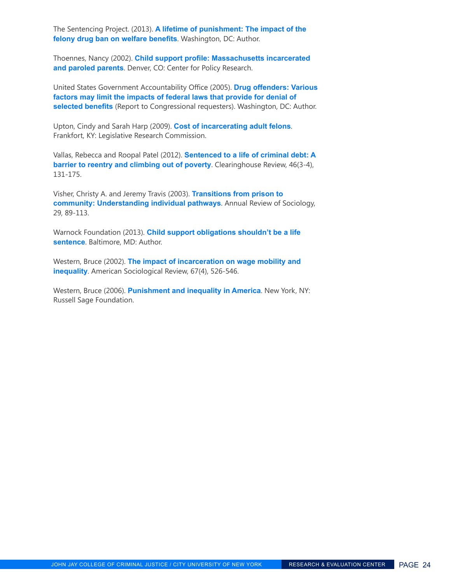The Sentencing Project. (2013). **[A lifetime of punishment: The impact of the](http://tinyurl.com/kna5rc3)  [felony drug ban on welfare benefits](http://tinyurl.com/kna5rc3)**. Washington, DC: Author.

Thoennes, Nancy (2002). **[Child support profile: Massachusetts incarcerated](http://tinyurl.com/mgj8fz6)  [and paroled parents](http://tinyurl.com/mgj8fz6)**. Denver, CO: Center for Policy Research.

United States Government Accountability Office (2005). **[Drug offenders: Various](http://www.gao.gov/products/GAO-05-238)  [factors may limit the impacts of federal laws that provide for denial of](http://www.gao.gov/products/GAO-05-238)  [selected benefits](http://www.gao.gov/products/GAO-05-238)** (Report to Congressional requesters). Washington, DC: Author.

Upton, Cindy and Sarah Harp (2009). **[Cost of incarcerating adult felons](http://www.lrc.ky.gov/lrcpubs/rr373.pdf)**. Frankfort, KY: Legislative Research Commission.

Vallas, Rebecca and Roopal Patel (2012). **[Sentenced to a life of criminal debt: A](http://povertylaw.org/communication/clearinghouse-review)  [barrier to reentry and climbing out of poverty](http://povertylaw.org/communication/clearinghouse-review)**. Clearinghouse Review, 46(3-4), 131-175.

Visher, Christy A. and Jeremy Travis (2003). **[Transitions from prison to](http://www.annualreviews.org/journal/soc)  [community: Understanding individual pathways](http://www.annualreviews.org/journal/soc)**. Annual Review of Sociology, 29, 89-113.

Warnock Foundation (2013). **[Child support obligations shouldn't be a life](http://tinyurl.com/oo7jdm7)  [sentence](http://tinyurl.com/oo7jdm7)**. Baltimore, MD: Author.

Western, Bruce (2002). **[The impact of incarceration on wage mobility and](http://asr.sagepub.com/)  [inequality](http://asr.sagepub.com/)**. American Sociological Review, 67(4), 526-546.

Western, Bruce (2006). **[Punishment and inequality in America](https://www.russellsage.org/publications/punishment-and-inequality-america)**. New York, NY: Russell Sage Foundation.